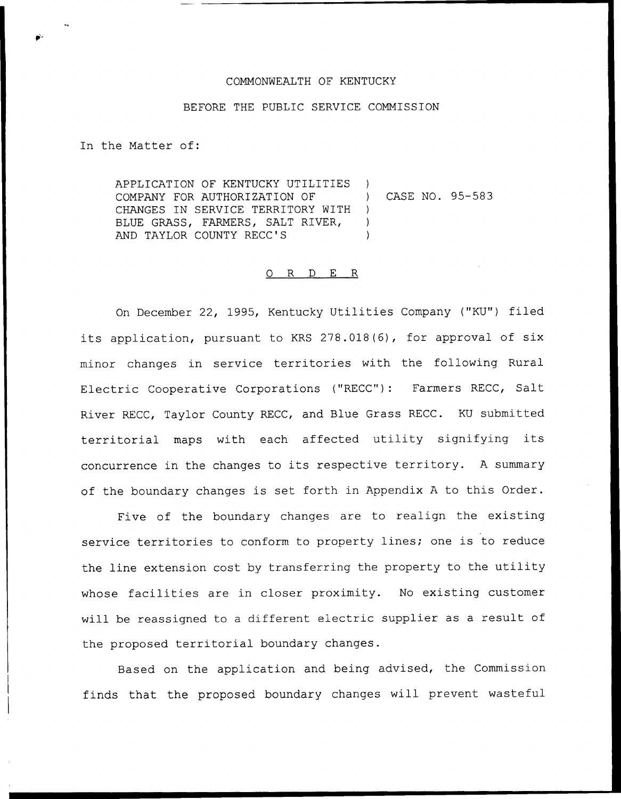### COMMONWEALTH OF KENTUCKY

#### BEFORE THE PUBLIC SERVICE COMMISSION

In the Matter of:

APPLICATION OF KENTUCKY UTILITIES COMPANY FOR AUTHORIZATION OF CHANGES IN SERVICE TERRITORY WITH BLUE GRASS, FARMERS, SALT RIVER, AND TAYLOR COUNTY RECC'S ) ) CASE NO. 95-583 )  $\left( \right)$ )

#### 0 R <sup>D</sup> E R

On December 22, 1995, Kentucky Utilities Company ("KU") filed its application, pursuant to KRS 278.018(6), for approval of six minor changes in service territories with the following Rural Electric Cooperative Corporations ("RECC"): Farmers RECC, Salt River RECC, Taylor County RECC, and Blue Grass RECC. KU submitted territorial maps with each affected utility signifying its concurrence in the changes to its respective territory. <sup>A</sup> summary of the boundary changes is set forth in Appendix <sup>A</sup> to this Order.

Five of the boundary changes are to realign the existing service territories to conform to property lines; one is to reduce the line extension cost by transferring the property to the utility whose facilities are in closer proximity. No existing customer will be reassigned to <sup>a</sup> different electric supplier as <sup>a</sup> result of the proposed territorial boundary changes.

Based on the application and being advised, the Commission finds that the proposed boundary changes will prevent wasteful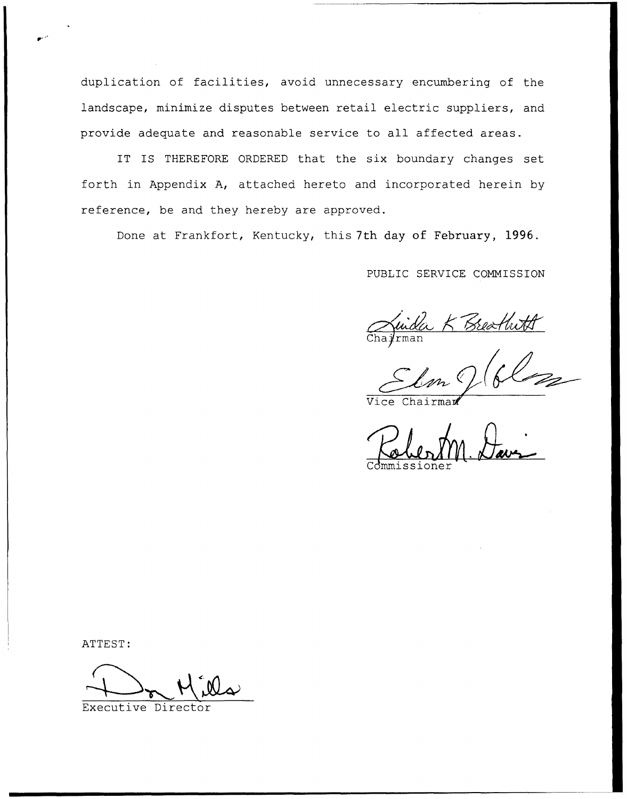duplication of facilities, avoid unnecessary encumbering of the landscape, minimize disputes between retail electric suppliers, and provide adequate and reasonable service to all affected areas.

IT IS THEREFORE ORDERED that the six boundary changes set forth in Appendix A, attached hereto and incorporated herein by reference, be and they hereby are approved.

Done at Frankfort, Kentucky, this 7th day of February, 1996.

PUBLIC SERVICE COMMISSION

Juida K Breathoff

Commissioner Commissione

ATTEST:

Executive Director